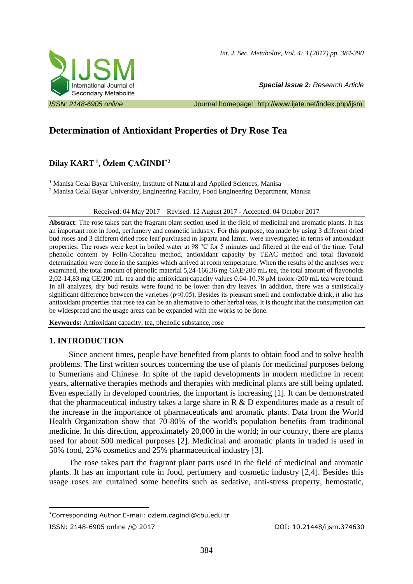

*Special Issue 2: Research Article* 

*ISSN: 2148-6905 online* Journal homepage: <http://www.ijate.net/index.php/ijsm>

# **Determination of Antioxidant Properties of Dry Rose Tea**

# **Dilay KART<sup>1</sup> , Özlem ÇAĞINDI\*2**

<sup>1</sup> Manisa Celal Bayar University, Institute of Natural and Applied Sciences, Manisa

<sup>2</sup> Manisa Celal Bayar University, Engineering Faculty, Food Engineering Department, Manisa

#### Received: 04 May 2017 – Revised: 12 August 2017 - Accepted: 04 October 2017

**Abstract**: The rose takes part the fragrant plant section used in the field of medicinal and aromatic plants. It has an important role in food, perfumery and cosmetic industry. For this purpose, tea made by using 3 different dried bud roses and 3 different dried rose leaf purchased in Isparta and İzmir, were investigated in terms of antioxidant properties. The roses were kept in boiled water at 98 °C for 5 minutes and filtered at the end of the time. Total phenolic content by Folin-Ciocalteu method, antioxidant capacity by TEAC method and total flavonoid determination were done in the samples which arrived at room temperature. When the results of the analyses were examined, the total amount of phenolic material 5,24-166,36 mg GAE/200 mL tea, the total amount of flavonoids 2,02-14,83 mg CE/200 mL tea and the antioxidant capacity values 0.64-10.78 μM trolox /200 mL tea were found. In all analyzes, dry bud results were found to be lower than dry leaves. In addition, there was a statistically significant difference between the varieties ( $p<0.05$ ). Besides its pleasant smell and comfortable drink, it also has antioxidant properties that rose tea can be an alternative to other herbal teas, it is thought that the consumption can be widespread and the usage areas can be expanded with the works to be done.

**Keywords:** Antioxidant capacity, tea, phenolic substance, rose

## **1. INTRODUCTION**

Since ancient times, people have benefited from plants to obtain food and to solve health problems. The first written sources concerning the use of plants for medicinal purposes belong to Sumerians and Chinese. In spite of the rapid developments in modern medicine in recent years, alternative therapies methods and therapies with medicinal plants are still being updated. Even especially in developed countries, the important is increasing [1]. It can be demonstrated that the pharmaceutical industry takes a large share in R & D expenditures made as a result of the increase in the importance of pharmaceuticals and aromatic plants. Data from the World Health Organization show that 70-80% of the world's population benefits from traditional medicine. In this direction, approximately 20,000 in the world; in our country, there are plants used for about 500 medical purposes [2]. Medicinal and aromatic plants in traded is used in 50% food, 25% cosmetics and 25% pharmaceutical industry [3].

The rose takes part the fragrant plant parts used in the field of medicinal and aromatic plants. It has an important role in food, perfumery and cosmetic industry [2,4]. Besides this usage roses are curtained some benefits such as sedative, anti-stress property, hemostatic,

<sup>1</sup> \*Corresponding Author E-mail: ozlem.cagindi@cbu.edu.tr

ISSN: 2148-6905 online /© 2017 DOI: 10.21448/ijsm.374630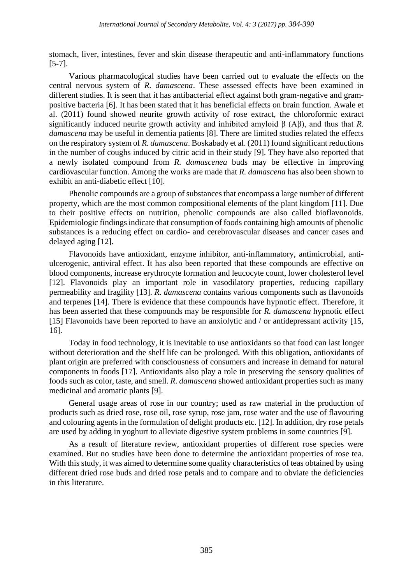stomach, liver, intestines, fever and skin disease therapeutic and anti-inflammatory functions [5-7].

Various pharmacological studies have been carried out to evaluate the effects on the central nervous system of *R. damascena*. These assessed effects have been examined in different studies. It is seen that it has antibacterial effect against both gram-negative and grampositive bacteria [6]. It has been stated that it has beneficial effects on brain function. Awale et al. (2011) found showed neurite growth activity of rose extract, the chloroformic extract significantly induced neurite growth activity and inhibited amyloid β (Aβ), and thus that *R. damascena* may be useful in dementia patients [8]. There are limited studies related the effects on the respiratory system of *R. damascena*. Boskabady et al. (2011) found significant reductions in the number of coughs induced by citric acid in their study [9]. They have also reported that a newly isolated compound from *R. damascenea* buds may be effective in improving cardiovascular function. Among the works are made that *R. damascena* has also been shown to exhibit an anti-diabetic effect [10].

Phenolic compounds are a group of substances that encompass a large number of different property, which are the most common compositional elements of the plant kingdom [11]. Due to their positive effects on nutrition, phenolic compounds are also called bioflavonoids. Epidemiologic findings indicate that consumption of foods containing high amounts of phenolic substances is a reducing effect on cardio- and cerebrovascular diseases and cancer cases and delayed aging [12].

Flavonoids have antioxidant, enzyme inhibitor, anti-inflammatory, antimicrobial, antiulcerogenic, antiviral effect. It has also been reported that these compounds are effective on blood components, increase erythrocyte formation and leucocyte count, lower cholesterol level [12]. Flavonoids play an important role in vasodilatory properties, reducing capillary permeability and fragility [13]. *R. damascena* contains various components such as flavonoids and terpenes [14]. There is evidence that these compounds have hypnotic effect. Therefore, it has been asserted that these compounds may be responsible for *R. damascena* hypnotic effect [15] Flavonoids have been reported to have an anxiolytic and / or antidepressant activity [15, 16].

Today in food technology, it is inevitable to use antioxidants so that food can last longer without deterioration and the shelf life can be prolonged. With this obligation, antioxidants of plant origin are preferred with consciousness of consumers and increase in demand for natural components in foods [17]. Antioxidants also play a role in preserving the sensory qualities of foods such as color, taste, and smell. *R. damascena* showed antioxidant properties such as many medicinal and aromatic plants [9].

General usage areas of rose in our country; used as raw material in the production of products such as dried rose, rose oil, rose syrup, rose jam, rose water and the use of flavouring and colouring agents in the formulation of delight products etc. [12]. In addition, dry rose petals are used by adding in yoghurt to alleviate digestive system problems in some countries [9].

As a result of literature review, antioxidant properties of different rose species were examined. But no studies have been done to determine the antioxidant properties of rose tea. With this study, it was aimed to determine some quality characteristics of teas obtained by using different dried rose buds and dried rose petals and to compare and to obviate the deficiencies in this literature.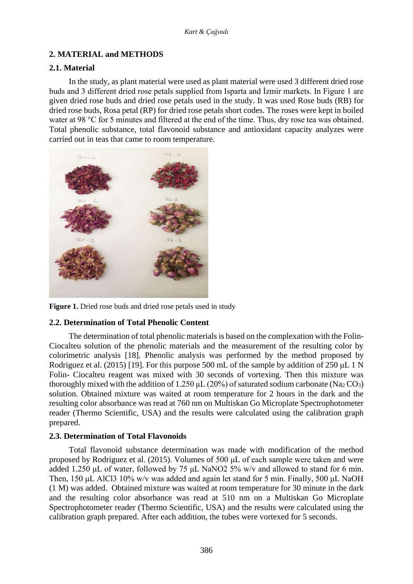# **2. MATERIAL and METHODS**

#### **2.1. Material**

In the study, as plant material were used as plant material were used 3 different dried rose buds and 3 different dried rose petals supplied from Isparta and İzmir markets. In Figure 1 are given dried rose buds and dried rose petals used in the study. It was used Rose buds (RB) for dried rose buds, Rosa petal (RP) for dried rose petals short codes. The roses were kept in boiled water at 98 °C for 5 minutes and filtered at the end of the time. Thus, dry rose tea was obtained. Total phenolic substance, total flavonoid substance and antioxidant capacity analyzes were carried out in teas that came to room temperature.



Figure 1. Dried rose buds and dried rose petals used in study

## **2.2. Determination of Total Phenolic Content**

The determination of total phenolic materials is based on the complexation with the Folin-Ciocalteu solution of the phenolic materials and the measurement of the resulting color by colorimetric analysis [18]. Phenolic analysis was performed by the method proposed by Rodriguez et al. (2015) [19]. For this purpose 500 mL of the sample by addition of 250 μL 1 N Folin- Ciocalteu reagent was mixed with 30 seconds of vortexing. Then this mixture was thoroughly mixed with the addition of 1.250  $\mu$ L (20%) of saturated sodium carbonate (Na<sub>2</sub> CO<sub>3</sub>) solution. Obtained mixture was waited at room temperature for 2 hours in the dark and the resulting color absorbance was read at 760 nm on Multiskan Go Microplate Spectrophotometer reader (Thermo Scientific, USA) and the results were calculated using the calibration graph prepared.

## **2.3. Determination of Total Flavonoids**

Total flavonoid substance determination was made with modification of the method proposed by Rodriguez et al. (2015). Volumes of 500 μL of each sample were taken and were added 1.250 μL of water, followed by 75 μL NaNO2 5% w/v and allowed to stand for 6 min. Then, 150 μL AlCl3 10% w/v was added and again let stand for 5 min. Finally, 500 μL NaOH (1 M) was added. Obtained mixture was waited at room temperature for 30 minute in the dark and the resulting color absorbance was read at 510 nm on a Multiskan Go Microplate Spectrophotometer reader (Thermo Scientific, USA) and the results were calculated using the calibration graph prepared. After each addition, the tubes were vortexed for 5 seconds.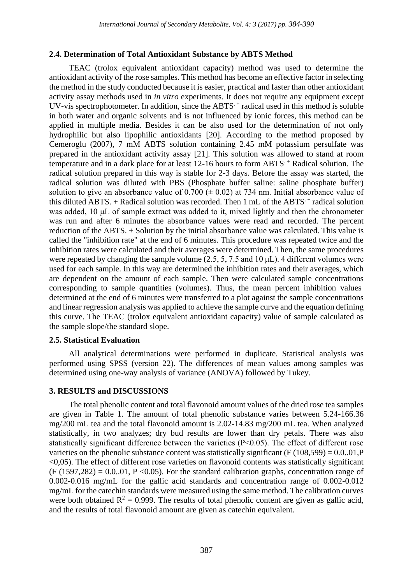## **2.4. Determination of Total Antioxidant Substance by ABTS Method**

TEAC (trolox equivalent antioxidant capacity) method was used to determine the antioxidant activity of the rose samples. This method has become an effective factor in selecting the method in the study conducted because it is easier, practical and faster than other antioxidant activity assay methods used in *in vitro* experiments. It does not require any equipment except UV-vis spectrophotometer. In addition, since the ABTS<sup> $+$ </sup> radical used in this method is soluble in both water and organic solvents and is not influenced by ionic forces, this method can be applied in multiple media. Besides it can be also used for the determination of not only hydrophilic but also lipophilic antioxidants [20]. According to the method proposed by Cemeroglu (2007), 7 mM ABTS solution containing 2.45 mM potassium persulfate was prepared in the antioxidant activity assay [21]. This solution was allowed to stand at room temperature and in a dark place for at least 12-16 hours to form ABTS. + Radical solution. The radical solution prepared in this way is stable for 2-3 days. Before the assay was started, the radical solution was diluted with PBS (Phosphate buffer saline: saline phosphate buffer) solution to give an absorbance value of  $0.700 \ (\pm 0.02)$  at 734 nm. Initial absorbance value of this diluted ABTS.  $+$  Radical solution was recorded. Then 1 mL of the ABTS $+$  radical solution was added, 10 μL of sample extract was added to it, mixed lightly and then the chronometer was run and after 6 minutes the absorbance values were read and recorded. The percent reduction of the ABTS. + Solution by the initial absorbance value was calculated. This value is called the "inhibition rate" at the end of 6 minutes. This procedure was repeated twice and the inhibition rates were calculated and their averages were determined. Then, the same procedures were repeated by changing the sample volume (2.5, 5, 7.5 and 10  $\mu$ L). 4 different volumes were used for each sample. In this way are determined the inhibition rates and their averages, which are dependent on the amount of each sample. Then were calculated sample concentrations corresponding to sample quantities (volumes). Thus, the mean percent inhibition values determined at the end of 6 minutes were transferred to a plot against the sample concentrations and linear regression analysis was applied to achieve the sample curve and the equation defining this curve. The TEAC (trolox equivalent antioxidant capacity) value of sample calculated as the sample slope/the standard slope.

#### **2.5. Statistical Evaluation**

All analytical determinations were performed in duplicate. Statistical analysis was performed using SPSS (version 22). The differences of mean values among samples was determined using one-way analysis of variance (ANOVA) followed by Tukey.

## **3. RESULTS and DISCUSSIONS**

The total phenolic content and total flavonoid amount values of the dried rose tea samples are given in Table 1. The amount of total phenolic substance varies between 5.24-166.36 mg/200 mL tea and the total flavonoid amount is 2.02-14.83 mg/200 mL tea. When analyzed statistically, in two analyzes; dry bud results are lower than dry petals. There was also statistically significant difference between the varieties (P˂0.05). The effect of different rose varieties on the phenolic substance content was statistically significant (F  $(108,599) = 0.0.01$ , P  $\leq$ 0,05). The effect of different rose varieties on flavonoid contents was statistically significant  $(F (1597, 282) = 0.0.01, P < 0.05)$ . For the standard calibration graphs, concentration range of 0.002-0.016 mg/mL for the gallic acid standards and concentration range of 0.002-0.012 mg/mL for the catechin standards were measured using the same method. The calibration curves were both obtained  $R^2 = 0.999$ . The results of total phenolic content are given as gallic acid, and the results of total flavonoid amount are given as catechin equivalent.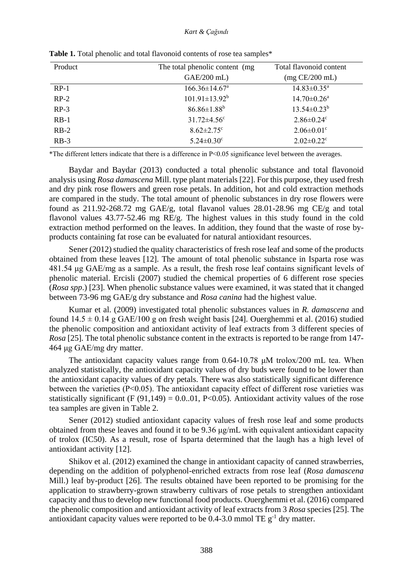| Product | The total phenolic content (mg) | Total flavonoid content       |
|---------|---------------------------------|-------------------------------|
|         | GAE/200 mL)                     | $(mg$ CE/200 mL)              |
| $RP-1$  | $166.36 \pm 14.67$ <sup>a</sup> | $14.83 \pm 0.35^{\text{a}}$   |
| $RP-2$  | $101.91 \pm 13.92^b$            | $14.70 \pm 0.26$ <sup>a</sup> |
| $RP-3$  | $86.86 \pm 1.88^b$              | $13.54 \pm 0.23^b$            |
| $RB-1$  | $31.72 \pm 4.56$ <sup>c</sup>   | $2.86 \pm 0.24$ c             |
| $RB-2$  | $8.62 \pm 2.75$ <sup>c</sup>    | $2.06 \pm 0.01$ <sup>c</sup>  |
| $RB-3$  | $5.24 \pm 0.30$ <sup>c</sup>    | $2.02 \pm 0.22$ <sup>c</sup>  |

Table 1. Total phenolic and total flavonoid contents of rose tea samples<sup>\*</sup>

\*The different letters indicate that there is a difference in P˂0.05 significance level between the averages.

Baydar and Baydar (2013) conducted a total phenolic substance and total flavonoid analysis using *Rosa damascena* Mill. type plant materials [22]. For this purpose, they used fresh and dry pink rose flowers and green rose petals. In addition, hot and cold extraction methods are compared in the study. The total amount of phenolic substances in dry rose flowers were found as 211.92-268.72 mg GAE/g, total flavanol values 28.01-28.96 mg CE/g and total flavonol values 43.77-52.46 mg RE/g. The highest values in this study found in the cold extraction method performed on the leaves. In addition, they found that the waste of rose byproducts containing fat rose can be evaluated for natural antioxidant resources.

Sener (2012) studied the quality characteristics of fresh rose leaf and some of the products obtained from these leaves [12]. The amount of total phenolic substance in Isparta rose was 481.54 μg GAE/mg as a sample. As a result, the fresh rose leaf contains significant levels of phenolic material. Ercisli (2007) studied the chemical properties of 6 different rose species (*Rosa spp*.) [23]. When phenolic substance values were examined, it was stated that it changed between 73-96 mg GAE/g dry substance and *Rosa canina* had the highest value.

Kumar et al. (2009) investigated total phenolic substances values in *R. damascena* and found  $14.5 \pm 0.14$  g GAE/100 g on fresh weight basis [24]. Ouerghemmi et al. (2016) studied the phenolic composition and antioxidant activity of leaf extracts from 3 different species of *Rosa* [25]. The total phenolic substance content in the extracts is reported to be range from 147- 464 μg GAE/mg dry matter.

The antioxidant capacity values range from  $0.64$ -10.78  $\mu$ M trolox/200 mL tea. When analyzed statistically, the antioxidant capacity values of dry buds were found to be lower than the antioxidant capacity values of dry petals. There was also statistically significant difference between the varieties (P˂0.05). The antioxidant capacity effect of different rose varieties was statistically significant (F (91,149) = 0.0..01, P<0.05). Antioxidant activity values of the rose tea samples are given in Table 2.

Sener (2012) studied antioxidant capacity values of fresh rose leaf and some products obtained from these leaves and found it to be 9.36 μg/mL with equivalent antioxidant capacity of trolox (IC50). As a result, rose of Isparta determined that the laugh has a high level of antioxidant activity [12].

Shikov et al. (2012) examined the change in antioxidant capacity of canned strawberries, depending on the addition of polyphenol-enriched extracts from rose leaf (*Rosa damascena* Mill.) leaf by-product [26]. The results obtained have been reported to be promising for the application to strawberry-grown strawberry cultivars of rose petals to strengthen antioxidant capacity and thus to develop new functional food products. Ouerghemmi et al. (2016) compared the phenolic composition and antioxidant activity of leaf extracts from 3 *Rosa* species [25]. The antioxidant capacity values were reported to be 0.4-3.0 mmol TE  $g^{-1}$  dry matter.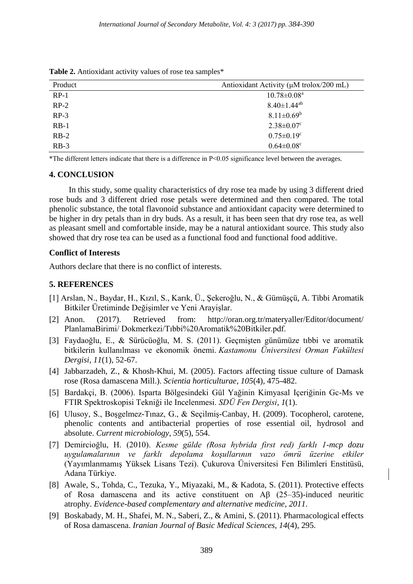Product Antioxidant Activity (μM trolox/200 mL)  $RP-1$  10.78 $\pm$ 0.08<sup>a</sup>  $RP-2$  8.40±1.44<sup>ab</sup> RP-3 8.11 $\pm 0.69^b$ RB-1 2.38 $\pm 0.07$ <sup>c</sup> RB-2  $0.75\pm0.19^c$ RB-3  $0.64 \pm 0.08^{\circ}$ 

**Table 2.** Antioxidant activity values of rose tea samples\*

\*The different letters indicate that there is a difference in P˂0.05 significance level between the averages.

#### **4. CONCLUSION**

In this study, some quality characteristics of dry rose tea made by using 3 different dried rose buds and 3 different dried rose petals were determined and then compared. The total phenolic substance, the total flavonoid substance and antioxidant capacity were determined to be higher in dry petals than in dry buds. As a result, it has been seen that dry rose tea, as well as pleasant smell and comfortable inside, may be a natural antioxidant source. This study also showed that dry rose tea can be used as a functional food and functional food additive.

#### **Conflict of Interests**

Authors declare that there is no conflict of interests.

#### **5. REFERENCES**

- [1] Arslan, N., Baydar, H., Kızıl, S., Karık, Ü., Şekeroğlu, N., & Gümüşçü, A. Tibbi Aromatik Bitkiler Üretiminde Değişimler ve Yeni Arayişlar.
- [2] Anon. (2017). Retrieved from: http://oran.org.tr/materyaller/Editor/document/ PlanlamaBirimi/ Dokmerkezi/Tıbbi%20Aromatik%20Bitkiler.pdf.
- [3] Faydaoğlu, E., & Sürücüoğlu, M. S. (2011). Geçmişten günümüze tıbbi ve aromatik bitkilerin kullanılması ve ekonomik önemi. *Kastamonu Üniversitesi Orman Fakültesi Dergisi*, *11*(1), 52-67.
- [4] Jabbarzadeh, Z., & Khosh-Khui, M. (2005). Factors affecting tissue culture of Damask rose (Rosa damascena Mill.). *Scientia horticulturae*, *105*(4), 475-482.
- [5] Bardakçi, B. (2006). Isparta Bölgesindeki Gül Yağinin Kimyasal Içeriğinin Gc-Ms ve FTIR Spektroskopisi Tekniği ile Incelenmesi. *SDÜ Fen Dergisi*, *1*(1).
- [6] Ulusoy, S., Boşgelmez-Tınaz, G., & Seçilmiş-Canbay, H. (2009). Tocopherol, carotene, phenolic contents and antibacterial properties of rose essential oil, hydrosol and absolute. *Current microbiology*, *59*(5), 554.
- [7] Demircioğlu, H. (2010). *Kesme gülde (Rosa hybrida first red) farklı 1-mcp dozu uygulamalarının ve farklı depolama koşullarının vazo ömrü üzerine etkiler*  (Yayımlanmamış Yüksek Lisans Tezi). Çukurova Üniversitesi Fen Bilimleri Enstitüsü, Adana Türkiye.
- [8] Awale, S., Tohda, C., Tezuka, Y., Miyazaki, M., & Kadota, S. (2011). Protective effects of Rosa damascena and its active constituent on Aβ (25–35)-induced neuritic atrophy. *Evidence-based complementary and alternative medicine*, *2011*.
- [9] Boskabady, M. H., Shafei, M. N., Saberi, Z., & Amini, S. (2011). Pharmacological effects of Rosa damascena. *Iranian Journal of Basic Medical Sciences*, *14*(4), 295.